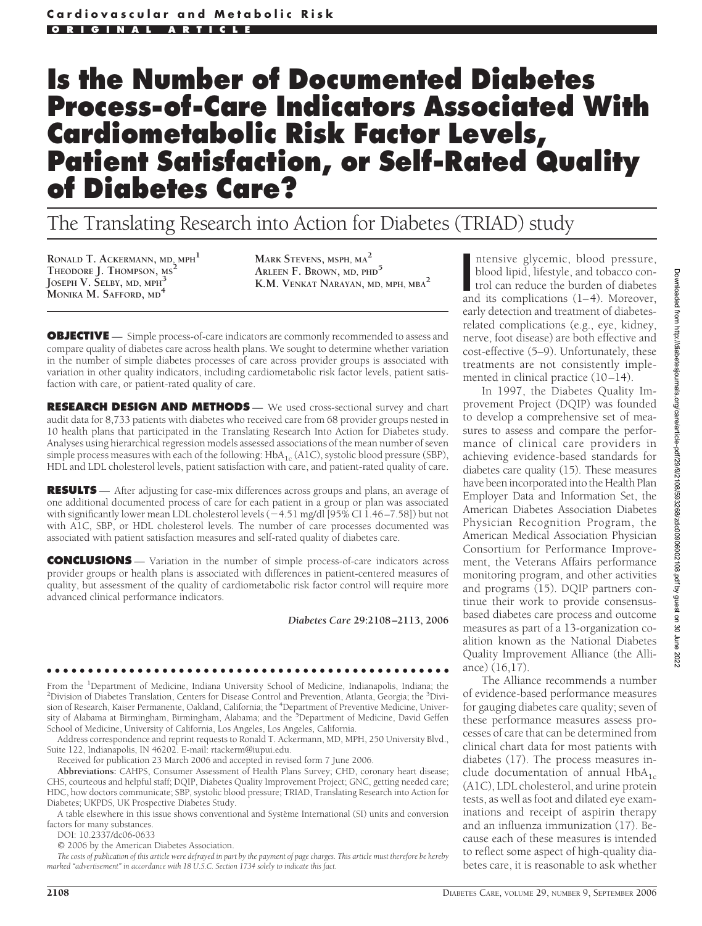# **Is the Number of Documented Diabetes Process-of-Care Indicators Associated With Cardiometabolic Risk Factor Levels, Patient Satisfaction, or Self-Rated Quality of Diabetes Care?**

# The Translating Research into Action for Diabetes (TRIAD) study

**RONALD T. ACKERMANN, MD, MPH<sup>1</sup> THEODORE J. THOMPSON, MS<sup>2</sup> JOSEPH V. SELBY, MD, MPH<sup>3</sup> MONIKA M. SAFFORD, MD<sup>4</sup>**

**MARK STEVENS, MSPH, MA<sup>2</sup> ARLEEN F. BROWN, MD, PHD5 K.M. VENKAT NARAYAN, MD, MPH, MBA<sup>2</sup>**

**OBJECTIVE** — Simple process-of-care indicators are commonly recommended to assess and compare quality of diabetes care across health plans. We sought to determine whether variation in the number of simple diabetes processes of care across provider groups is associated with variation in other quality indicators, including cardiometabolic risk factor levels, patient satisfaction with care, or patient-rated quality of care.

**RESEARCH DESIGN AND METHODS** — We used cross-sectional survey and chart audit data for 8,733 patients with diabetes who received care from 68 provider groups nested in 10 health plans that participated in the Translating Research Into Action for Diabetes study. Analyses using hierarchical regression models assessed associations of the mean number of seven simple process measures with each of the following: HbA<sub>1c</sub> (A1C), systolic blood pressure (SBP), HDL and LDL cholesterol levels, patient satisfaction with care, and patient-rated quality of care.

**RESULTS** — After adjusting for case-mix differences across groups and plans, an average of one additional documented process of care for each patient in a group or plan was associated with significantly lower mean LDL cholesterol levels (-4.51 mg/dl [95% CI 1.46-7.58]) but not with A1C, SBP, or HDL cholesterol levels. The number of care processes documented was associated with patient satisfaction measures and self-rated quality of diabetes care.

**CONCLUSIONS** — Variation in the number of simple process-of-care indicators across provider groups or health plans is associated with differences in patient-centered measures of quality, but assessment of the quality of cardiometabolic risk factor control will require more advanced clinical performance indicators.

*Diabetes Care* **29:2108 –2113, 2006**

●●●●●●●●●●●●●●●●●●●●●●●●●●●●●●●●●●●●●●●●●●●●●●●●● From the <sup>1</sup>Department of Medicine, Indiana University School of Medicine, Indianapolis, Indiana; the <sup>2</sup>Divident <sup>2</sup>Divident <sup>2</sup>Divident <sup>2</sup>Divident <sup>2</sup>Divident <sup>2</sup>Divident <sup>2</sup>Divident <sup>2</sup>Divident <sup>2</sup>Divident <sup>2</sup>Divident Division of Diabetes Translation, Centers for Disease Control and Prevention, Atlanta, Georgia; the <sup>3</sup>Division of Research, Kaiser Permanente, Oakland, California; the <sup>4</sup>Department of Preventive Medicine, University of Alabama at Birmingham, Birmingham, Alabama; and the <sup>\*5</sup>Department of Medicine, David Geffen School of Medicine, University of California, Los Angeles, Los Angeles, California.

Address correspondence and reprint requests to Ronald T. Ackermann, MD, MPH, 250 University Blvd., Suite 122, Indianapolis, IN 46202. E-mail: rtackerm@iupui.edu.

Received for publication 23 March 2006 and accepted in revised form 7 June 2006.

**Abbreviations:** CAHPS, Consumer Assessment of Health Plans Survey; CHD, coronary heart disease; CHS, courteous and helpful staff; DQIP, Diabetes Quality Improvement Project; GNC, getting needed care; HDC, how doctors communicate; SBP, systolic blood pressure; TRIAD, Translating Research into Action for Diabetes; UKPDS, UK Prospective Diabetes Study.

A table elsewhere in this issue shows conventional and Système International (SI) units and conversion factors for many substances.

DOI: 10.2337/dc06-0633

© 2006 by the American Diabetes Association.

*The costs of publication of this article were defrayed in part by the payment of page charges. This article must therefore be hereby marked "advertisement" in accordance with 18 U.S.C. Section 1734 solely to indicate this fact.*

ntensive glycemic, blood pressure,<br>blood lipid, lifestyle, and tobacco con-<br>trol can reduce the burden of diabetes<br>and its complications (1–4). Moreover, ntensive glycemic, blood pressure, blood lipid, lifestyle, and tobacco control can reduce the burden of diabetes early detection and treatment of diabetesrelated complications (e.g., eye, kidney, nerve, foot disease) are both effective and cost-effective (5–9). Unfortunately, these treatments are not consistently implemented in clinical practice (10–14).

In 1997, the Diabetes Quality Improvement Project (DQIP) was founded to develop a comprehensive set of measures to assess and compare the performance of clinical care providers in achieving evidence-based standards for diabetes care quality (15). These measures have been incorporated into the Health Plan Employer Data and Information Set, the American Diabetes Association Diabetes Physician Recognition Program, the American Medical Association Physician Consortium for Performance Improvement, the Veterans Affairs performance monitoring program, and other activities and programs (15). DQIP partners continue their work to provide consensusbased diabetes care process and outcome measures as part of a 13-organization coalition known as the National Diabetes Quality Improvement Alliance (the Alliance) (16,17).

The Alliance recommends a number of evidence-based performance measures for gauging diabetes care quality; seven of these performance measures assess processes of care that can be determined from clinical chart data for most patients with diabetes (17). The process measures include documentation of annual  $HbA_{1c}$ (A1C), LDL cholesterol, and urine protein tests, as well as foot and dilated eye examinations and receipt of aspirin therapy and an influenza immunization (17). Because each of these measures is intended to reflect some aspect of high-quality diabetes care, it is reasonable to ask whether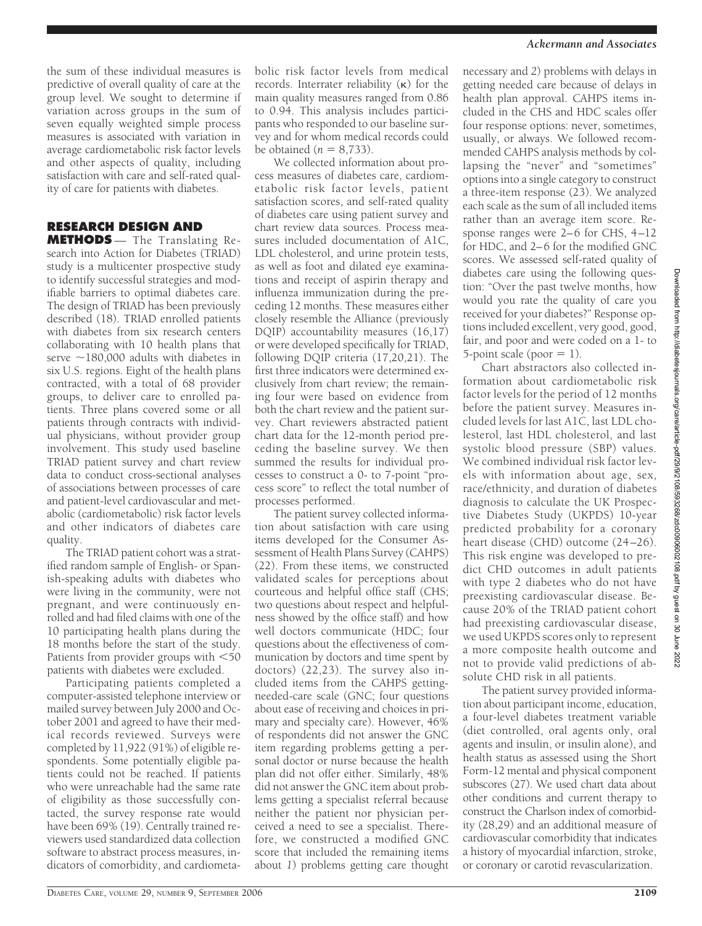the sum of these individual measures is predictive of overall quality of care at the group level. We sought to determine if variation across groups in the sum of seven equally weighted simple process measures is associated with variation in average cardiometabolic risk factor levels and other aspects of quality, including satisfaction with care and self-rated quality of care for patients with diabetes.

# **RESEARCH DESIGN AND**

**METHODS** — The Translating Research into Action for Diabetes (TRIAD) study is a multicenter prospective study to identify successful strategies and modifiable barriers to optimal diabetes care. The design of TRIAD has been previously described (18). TRIAD enrolled patients with diabetes from six research centers collaborating with 10 health plans that serve  $\sim$ 180,000 adults with diabetes in six U.S. regions. Eight of the health plans contracted, with a total of 68 provider groups, to deliver care to enrolled patients. Three plans covered some or all patients through contracts with individual physicians, without provider group involvement. This study used baseline TRIAD patient survey and chart review data to conduct cross-sectional analyses of associations between processes of care and patient-level cardiovascular and metabolic (cardiometabolic) risk factor levels and other indicators of diabetes care quality.

The TRIAD patient cohort was a stratified random sample of English- or Spanish-speaking adults with diabetes who were living in the community, were not pregnant, and were continuously enrolled and had filed claims with one of the 10 participating health plans during the 18 months before the start of the study. Patients from provider groups with  $<$  50 patients with diabetes were excluded.

Participating patients completed a computer-assisted telephone interview or mailed survey between July 2000 and October 2001 and agreed to have their medical records reviewed. Surveys were completed by 11,922 (91%) of eligible respondents. Some potentially eligible patients could not be reached. If patients who were unreachable had the same rate of eligibility as those successfully contacted, the survey response rate would have been 69% (19). Centrally trained reviewers used standardized data collection software to abstract process measures, indicators of comorbidity, and cardiometabolic risk factor levels from medical records. Interrater reliability  $(\kappa)$  for the main quality measures ranged from 0.86 to 0.94. This analysis includes participants who responded to our baseline survey and for whom medical records could be obtained  $(n = 8,733)$ .

We collected information about process measures of diabetes care, cardiometabolic risk factor levels, patient satisfaction scores, and self-rated quality of diabetes care using patient survey and chart review data sources. Process measures included documentation of A1C, LDL cholesterol, and urine protein tests, as well as foot and dilated eye examinations and receipt of aspirin therapy and influenza immunization during the preceding 12 months. These measures either closely resemble the Alliance (previously DQIP) accountability measures (16,17) or were developed specifically for TRIAD, following DQIP criteria (17,20,21). The first three indicators were determined exclusively from chart review; the remaining four were based on evidence from both the chart review and the patient survey. Chart reviewers abstracted patient chart data for the 12-month period preceding the baseline survey. We then summed the results for individual processes to construct a 0- to 7-point "process score" to reflect the total number of processes performed.

The patient survey collected information about satisfaction with care using items developed for the Consumer Assessment of Health Plans Survey (CAHPS) (22). From these items, we constructed validated scales for perceptions about courteous and helpful office staff (CHS; two questions about respect and helpfulness showed by the office staff) and how well doctors communicate (HDC; four questions about the effectiveness of communication by doctors and time spent by doctors) (22,23). The survey also included items from the CAHPS gettingneeded-care scale (GNC; four questions about ease of receiving and choices in primary and specialty care). However, 46% of respondents did not answer the GNC item regarding problems getting a personal doctor or nurse because the health plan did not offer either. Similarly, 48% did not answer the GNC item about problems getting a specialist referral because neither the patient nor physician perceived a need to see a specialist. Therefore, we constructed a modified GNC score that included the remaining items about *1*) problems getting care thought

necessary and *2*) problems with delays in getting needed care because of delays in health plan approval. CAHPS items included in the CHS and HDC scales offer four response options: never, sometimes, usually, or always. We followed recommended CAHPS analysis methods by collapsing the "never" and "sometimes" options into a single category to construct a three-item response (23). We analyzed each scale as the sum of all included items rather than an average item score. Response ranges were 2–6 for CHS, 4–12 for HDC, and 2–6 for the modified GNC scores. We assessed self-rated quality of diabetes care using the following question: "Over the past twelve months, how would you rate the quality of care you received for your diabetes?" Response options included excellent, very good, good, fair, and poor and were coded on a 1- to 5-point scale (poor  $= 1$ ).

Chart abstractors also collected information about cardiometabolic risk factor levels for the period of 12 months before the patient survey. Measures included levels for last A1C, last LDL cholesterol, last HDL cholesterol, and last systolic blood pressure (SBP) values. We combined individual risk factor levels with information about age, sex, race/ethnicity, and duration of diabetes diagnosis to calculate the UK Prospective Diabetes Study (UKPDS) 10-year predicted probability for a coronary heart disease (CHD) outcome (24–26). This risk engine was developed to predict CHD outcomes in adult patients with type 2 diabetes who do not have preexisting cardiovascular disease. Because 20% of the TRIAD patient cohort had preexisting cardiovascular disease, we used UKPDS scores only to represent a more composite health outcome and not to provide valid predictions of absolute CHD risk in all patients.

The patient survey provided information about participant income, education, a four-level diabetes treatment variable (diet controlled, oral agents only, oral agents and insulin, or insulin alone), and health status as assessed using the Short Form-12 mental and physical component subscores (27). We used chart data about other conditions and current therapy to construct the Charlson index of comorbidity (28,29) and an additional measure of cardiovascular comorbidity that indicates a history of myocardial infarction, stroke, or coronary or carotid revascularization.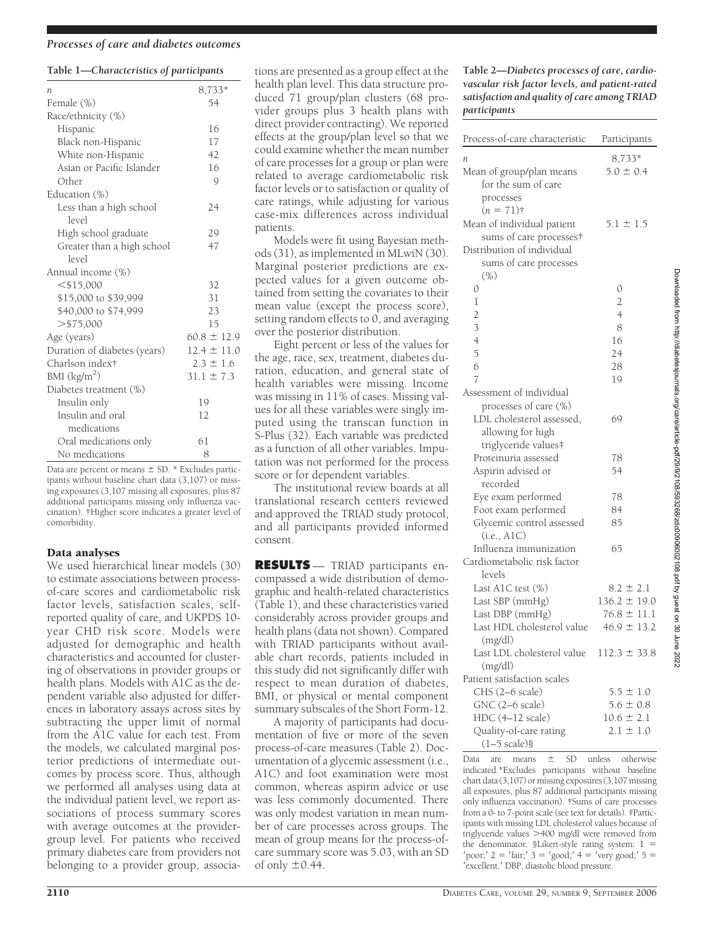### **Table 1—***Characteristics of participants*

| $\boldsymbol{n}$                                | 8,733*          |  |
|-------------------------------------------------|-----------------|--|
| Female (%)                                      | 54              |  |
| Race/ethnicity (%)                              |                 |  |
| Hispanic                                        | 16              |  |
| Black non-Hispanic                              | 17              |  |
| White non-Hispanic                              | 42              |  |
| Asian or Pacific Islander<br>16                 |                 |  |
| Other                                           | 9               |  |
| Education (%)                                   |                 |  |
| Less than a high school                         | 24              |  |
| level                                           |                 |  |
| High school graduate                            | 29              |  |
| Greater than a high school                      | 47              |  |
| $ $ evel                                        |                 |  |
| Annual income (%)                               |                 |  |
| $<$ \$15,000                                    | 32              |  |
| \$15,000 to \$39,999                            | 31              |  |
| \$40,000 to \$74,999<br>23                      |                 |  |
| $>>$ \$75,000                                   | 15              |  |
| Age (years)                                     | $60.8 \pm 12.9$ |  |
| Duration of diabetes (years)<br>$12.4 \pm 11.0$ |                 |  |
| Charlson index†                                 | $2.3 \pm 1.6$   |  |
| BMI $(kg/m2)$                                   | $31.1 \pm 7.3$  |  |
| Diabetes treatment (%)                          |                 |  |
| Insulin only                                    | 19              |  |
| Insulin and oral                                | 12              |  |
| medications                                     |                 |  |
| Oral medications only                           | 61              |  |
| No medications                                  | 8               |  |

Data are percent or means  $\pm$  SD.  $*$  Excludes participants without baseline chart data (3,107) or missing exposures (3,107 missing all exposures, plus 87 additional participants missing only influenza vaccination). †Higher score indicates a greater level of comorbidity.

## Data analyses

We used hierarchical linear models (30) to estimate associations between processof-care scores and cardiometabolic risk factor levels, satisfaction scales, selfreported quality of care, and UKPDS 10 year CHD risk score. Models were adjusted for demographic and health characteristics and accounted for clustering of observations in provider groups or health plans. Models with A1C as the dependent variable also adjusted for differences in laboratory assays across sites by subtracting the upper limit of normal from the A1C value for each test. From the models, we calculated marginal posterior predictions of intermediate outcomes by process score. Thus, although we performed all analyses using data at the individual patient level, we report associations of process summary scores with average outcomes at the providergroup level. For patients who received primary diabetes care from providers not belonging to a provider group, associa-

tions are presented as a group effect at the health plan level. This data structure produced 71 group/plan clusters (68 provider groups plus 3 health plans with direct provider contracting). We reported effects at the group/plan level so that we could examine whether the mean number of care processes for a group or plan were related to average cardiometabolic risk factor levels or to satisfaction or quality of care ratings, while adjusting for various case-mix differences across individual patients.

Models were fit using Bayesian methods (31), as implemented in MLwiN (30). Marginal posterior predictions are expected values for a given outcome obtained from setting the covariates to their mean value (except the process score), setting random effects to 0, and averaging over the posterior distribution.

Eight percent or less of the values for the age, race, sex, treatment, diabetes duration, education, and general state of health variables were missing. Income was missing in 11% of cases. Missing values for all these variables were singly imputed using the transcan function in S-Plus (32). Each variable was predicted as a function of all other variables. Imputation was not performed for the process score or for dependent variables.

The institutional review boards at all translational research centers reviewed and approved the TRIAD study protocol, and all participants provided informed consent.

**RESULTS** — TRIAD participants encompassed a wide distribution of demographic and health-related characteristics (Table 1), and these characteristics varied considerably across provider groups and health plans (data not shown). Compared with TRIAD participants without available chart records, patients included in this study did not significantly differ with respect to mean duration of diabetes, BMI, or physical or mental component summary subscales of the Short Form-12.

A majority of participants had documentation of five or more of the seven process-of-care measures (Table 2). Documentation of a glycemic assessment (i.e., A1C) and foot examination were most common, whereas aspirin advice or use was less commonly documented. There was only modest variation in mean number of care processes across groups. The mean of group means for the process-ofcare summary score was 5.03, with an SD of only  $\pm 0.44$ .

**Table 2—***Diabetes processes of care, cardiovascular risk factor levels, and patient-rated satisfaction and quality of care among TRIAD participants*

| Process-of-care characteristic                  | Participants        |
|-------------------------------------------------|---------------------|
| n                                               | 8,733*              |
| Mean of group/plan means<br>for the sum of care | $5.0 \pm 0.4$       |
| processes                                       |                     |
| $(n = 71)$ †                                    |                     |
| Mean of individual patient                      | $5.1 \pm 1.5$       |
| sums of care processes†                         |                     |
| Distribution of individual                      |                     |
| sums of care processes                          |                     |
| $(\% )$                                         |                     |
| 0<br>1                                          | 0<br>$\overline{2}$ |
|                                                 | $\overline{4}$      |
| $\overline{2}$<br>$\overline{\mathbf{3}}$       |                     |
| $\overline{4}$                                  | 8                   |
|                                                 | 16                  |
| 5                                               | 24<br>28            |
| 6<br>$\overline{7}$                             | 19                  |
| Assessment of individual                        |                     |
| processes of care (%)                           |                     |
| LDL cholesterol assessed,                       | 69                  |
| allowing for high                               |                     |
| triglyceride values#                            |                     |
| Proteinuria assessed                            | 78                  |
| Aspirin advised or                              | 54                  |
| recorded                                        |                     |
| Eye exam performed                              | 78                  |
| Foot exam performed                             | 84                  |
| Glycemic control assessed                       | 85                  |
| (i.e., A1C)                                     |                     |
| Influenza immunization                          | 65                  |
| Cardiometabolic risk factor                     |                     |
| levels                                          |                     |
| Last A1C test (%)                               | $8.2 \pm 2.1$       |
| Last SBP (mmHg)                                 | $136.2 \pm 19.0$    |
| Last DBP (mmHg)                                 | $76.8 \pm 11.1$     |
| Last HDL cholesterol value                      | $46.9 \pm 13.2$     |
| (mg/dl)                                         |                     |
| Last LDL cholesterol value                      | $112.3 \pm 33.8$    |
| (mg/dl)                                         |                     |
| Patient satisfaction scales                     |                     |
| CHS (2-6 scale)                                 | $5.5 \pm 1.0$       |
| GNC (2-6 scale)                                 | $5.6 \pm 0.8$       |
| HDC (4-12 scale)                                | $10.6 \pm 2.1$      |
| Quality-of-care rating                          | $2.1 \pm 1.0$       |
| $(1-5 \text{ scale})\$                          |                     |

Data are means  $\pm$  SD unless otherwise indicated.\*Excludes participants without baseline chart data (3,107) or missing exposures (3,107 missing all exposures, plus 87 additional participants missing only influenza vaccination). †Sums of care processes from a 0- to 7-point scale (see text for details). ‡Participants with missing LDL cholesterol values because of triglyceride values 400 mg/dl were removed from the denominator. §Likert-style rating system:  $1 =$ 'poor;' 2 = 'fair;' 3 = 'good;' 4 = 'very good;' 5 = 'excellent.' DBP, diastolic blood pressure.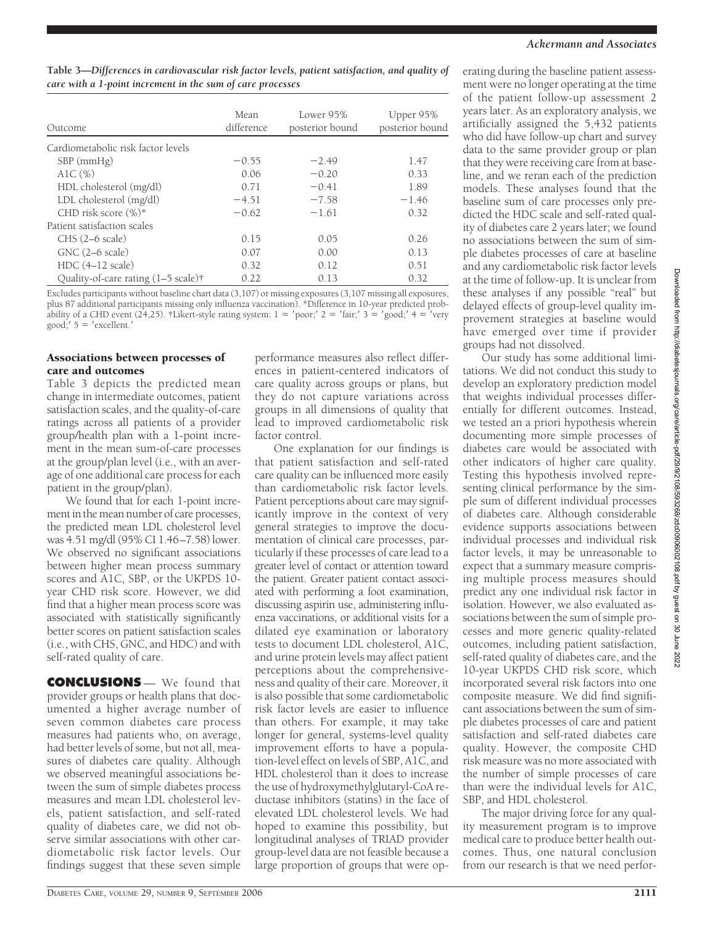**Table 3—***Differences in cardiovascular risk factor levels, patient satisfaction, and quality of care with a 1-point increment in the sum of care processes*

| Outcome                                              | Mean<br>difference | Lower 95%<br>posterior bound | Upper 95%<br>posterior bound |
|------------------------------------------------------|--------------------|------------------------------|------------------------------|
| Cardiometabolic risk factor levels                   |                    |                              |                              |
| $SBP$ (mm $Hg$ )                                     | $-0.55$            | $-2.49$                      | 1.47                         |
| A1C(%)                                               | 0.06               | $-0.20$                      | 0.33                         |
| HDL cholesterol (mg/dl)                              | 0.71               | $-0.41$                      | 1.89                         |
| LDL cholesterol (mg/dl)                              | $-4.51$            | $-7.58$                      | $-1.46$                      |
| CHD risk score $(\%)^*$                              | $-0.62$            | $-1.61$                      | 0.32                         |
| Patient satisfaction scales                          |                    |                              |                              |
| CHS (2–6 scale)                                      | 0.15               | 0.05                         | 0.26                         |
| GNC(2–6 scale)                                       | 0.07               | 0.00                         | 0.13                         |
| $HDC(4-12 scale)$                                    | 0.32               | 0.12                         | 0.51                         |
| Quality-of-care rating $(1-5 \text{ scale})\uparrow$ | 0.22               | 0.13                         | 0.32                         |

Excludes participants without baseline chart data (3,107) or missing exposures (3,107 missing all exposures, plus 87 additional participants missing only influenza vaccination). \*Difference in 10-year predicted probability of a CHD event (24,25). †Likert-style rating system:  $1 = 'poor; '2 = 'fair; '3 = 'good; '4 = 'very$ good;'  $5$  = 'excellent.'

# Associations between processes of care and outcomes

Table 3 depicts the predicted mean change in intermediate outcomes, patient satisfaction scales, and the quality-of-care ratings across all patients of a provider group/health plan with a 1-point increment in the mean sum-of-care processes at the group/plan level (i.e., with an average of one additional care process for each patient in the group/plan).

We found that for each 1-point increment in the mean number of care processes, the predicted mean LDL cholesterol level was 4.51 mg/dl (95% CI 1.46–7.58) lower. We observed no significant associations between higher mean process summary scores and A1C, SBP, or the UKPDS 10 year CHD risk score. However, we did find that a higher mean process score was associated with statistically significantly better scores on patient satisfaction scales (i.e., with CHS, GNC, and HDC) and with self-rated quality of care.

**CONCLUSIONS** — We found that provider groups or health plans that documented a higher average number of seven common diabetes care process measures had patients who, on average, had better levels of some, but not all, measures of diabetes care quality. Although we observed meaningful associations between the sum of simple diabetes process measures and mean LDL cholesterol levels, patient satisfaction, and self-rated quality of diabetes care, we did not observe similar associations with other cardiometabolic risk factor levels. Our findings suggest that these seven simple

performance measures also reflect differences in patient-centered indicators of care quality across groups or plans, but they do not capture variations across groups in all dimensions of quality that lead to improved cardiometabolic risk factor control.

One explanation for our findings is that patient satisfaction and self-rated care quality can be influenced more easily than cardiometabolic risk factor levels. Patient perceptions about care may significantly improve in the context of very general strategies to improve the documentation of clinical care processes, particularly if these processes of care lead to a greater level of contact or attention toward the patient. Greater patient contact associated with performing a foot examination, discussing aspirin use, administering influenza vaccinations, or additional visits for a dilated eye examination or laboratory tests to document LDL cholesterol, A1C, and urine protein levels may affect patient perceptions about the comprehensiveness and quality of their care. Moreover, it is also possible that some cardiometabolic risk factor levels are easier to influence than others. For example, it may take longer for general, systems-level quality improvement efforts to have a population-level effect on levels of SBP, A1C, and HDL cholesterol than it does to increase the use of hydroxymethylglutaryl-CoA reductase inhibitors (statins) in the face of elevated LDL cholesterol levels. We had hoped to examine this possibility, but longitudinal analyses of TRIAD provider group-level data are not feasible because a large proportion of groups that were operating during the baseline patient assessment were no longer operating at the time of the patient follow-up assessment 2 years later. As an exploratory analysis, we artificially assigned the 5,432 patients who did have follow-up chart and survey data to the same provider group or plan that they were receiving care from at baseline, and we reran each of the prediction models. These analyses found that the baseline sum of care processes only predicted the HDC scale and self-rated quality of diabetes care 2 years later; we found no associations between the sum of simple diabetes processes of care at baseline and any cardiometabolic risk factor levels at the time of follow-up. It is unclear from these analyses if any possible "real" but delayed effects of group-level quality improvement strategies at baseline would have emerged over time if provider groups had not dissolved.

Our study has some additional limitations. We did not conduct this study to develop an exploratory prediction model that weights individual processes differentially for different outcomes. Instead, we tested an a priori hypothesis wherein documenting more simple processes of diabetes care would be associated with other indicators of higher care quality. Testing this hypothesis involved representing clinical performance by the simple sum of different individual processes of diabetes care. Although considerable evidence supports associations between individual processes and individual risk factor levels, it may be unreasonable to expect that a summary measure comprising multiple process measures should predict any one individual risk factor in isolation. However, we also evaluated associations between the sum of simple processes and more generic quality-related outcomes, including patient satisfaction, self-rated quality of diabetes care, and the 10-year UKPDS CHD risk score, which incorporated several risk factors into one composite measure. We did find significant associations between the sum of simple diabetes processes of care and patient satisfaction and self-rated diabetes care quality. However, the composite CHD risk measure was no more associated with the number of simple processes of care than were the individual levels for A1C, SBP, and HDL cholesterol.

The major driving force for any quality measurement program is to improve medical care to produce better health outcomes. Thus, one natural conclusion from our research is that we need perfor-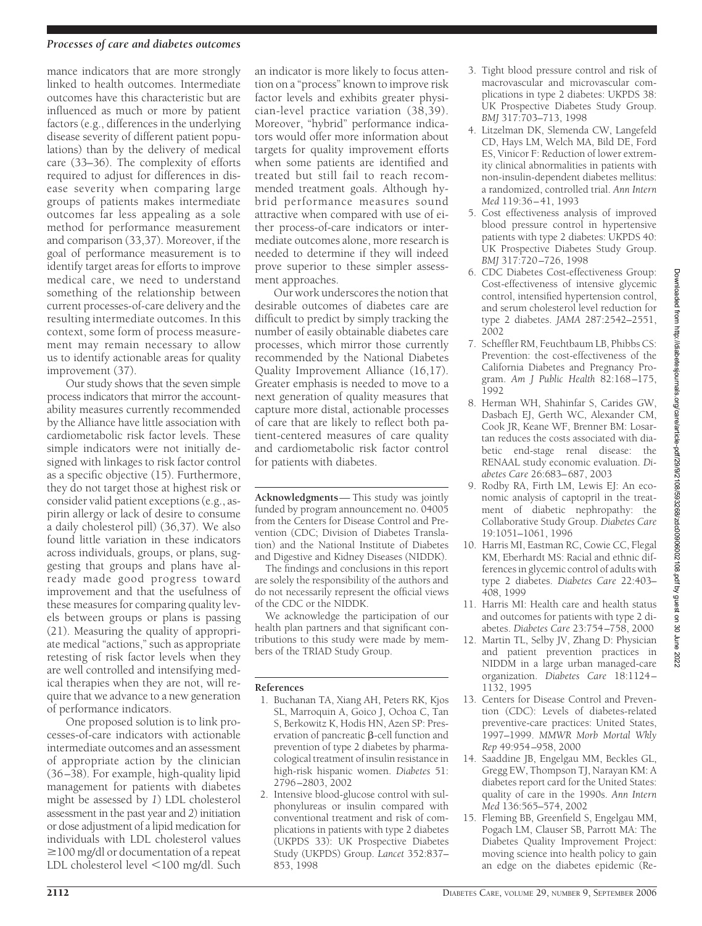#### *Processes of care and diabetes outcomes*

mance indicators that are more strongly linked to health outcomes. Intermediate outcomes have this characteristic but are influenced as much or more by patient factors (e.g., differences in the underlying disease severity of different patient populations) than by the delivery of medical care (33–36). The complexity of efforts required to adjust for differences in disease severity when comparing large groups of patients makes intermediate outcomes far less appealing as a sole method for performance measurement and comparison (33,37). Moreover, if the goal of performance measurement is to identify target areas for efforts to improve medical care, we need to understand something of the relationship between current processes-of-care delivery and the resulting intermediate outcomes. In this context, some form of process measurement may remain necessary to allow us to identify actionable areas for quality improvement (37).

Our study shows that the seven simple process indicators that mirror the accountability measures currently recommended by the Alliance have little association with cardiometabolic risk factor levels. These simple indicators were not initially designed with linkages to risk factor control as a specific objective (15). Furthermore, they do not target those at highest risk or consider valid patient exceptions (e.g., aspirin allergy or lack of desire to consume a daily cholesterol pill) (36,37). We also found little variation in these indicators across individuals, groups, or plans, suggesting that groups and plans have already made good progress toward improvement and that the usefulness of these measures for comparing quality levels between groups or plans is passing (21). Measuring the quality of appropriate medical "actions," such as appropriate retesting of risk factor levels when they are well controlled and intensifying medical therapies when they are not, will require that we advance to a new generation of performance indicators.

One proposed solution is to link processes-of-care indicators with actionable intermediate outcomes and an assessment of appropriate action by the clinician (36–38). For example, high-quality lipid management for patients with diabetes might be assessed by *1*) LDL cholesterol assessment in the past year and *2*) initiation or dose adjustment of a lipid medication for individuals with LDL cholesterol values  $\geq$ 100 mg/dl or documentation of a repeat LDL cholesterol level  $\leq 100$  mg/dl. Such

an indicator is more likely to focus attention on a "process" known to improve risk factor levels and exhibits greater physician-level practice variation (38,39). Moreover, "hybrid" performance indicators would offer more information about targets for quality improvement efforts when some patients are identified and treated but still fail to reach recommended treatment goals. Although hybrid performance measures sound attractive when compared with use of either process-of-care indicators or intermediate outcomes alone, more research is needed to determine if they will indeed prove superior to these simpler assessment approaches.

Our work underscores the notion that desirable outcomes of diabetes care are difficult to predict by simply tracking the number of easily obtainable diabetes care processes, which mirror those currently recommended by the National Diabetes Quality Improvement Alliance (16,17). Greater emphasis is needed to move to a next generation of quality measures that capture more distal, actionable processes of care that are likely to reflect both patient-centered measures of care quality and cardiometabolic risk factor control for patients with diabetes.

**Acknowledgments**— This study was jointly funded by program announcement no. 04005 from the Centers for Disease Control and Prevention (CDC; Division of Diabetes Translation) and the National Institute of Diabetes and Digestive and Kidney Diseases (NIDDK).

The findings and conclusions in this report are solely the responsibility of the authors and do not necessarily represent the official views of the CDC or the NIDDK.

We acknowledge the participation of our health plan partners and that significant contributions to this study were made by members of the TRIAD Study Group.

### **References**

- 1. Buchanan TA, Xiang AH, Peters RK, Kjos SL, Marroquin A, Goico J, Ochoa C, Tan S, Berkowitz K, Hodis HN, Azen SP: Preservation of pancreatic  $\beta$ -cell function and prevention of type 2 diabetes by pharmacological treatment of insulin resistance in high-risk hispanic women. *Diabetes* 51: 2796–2803, 2002
- 2. Intensive blood-glucose control with sulphonylureas or insulin compared with conventional treatment and risk of complications in patients with type 2 diabetes (UKPDS 33): UK Prospective Diabetes Study (UKPDS) Group. *Lancet* 352:837– 853, 1998
- 3. Tight blood pressure control and risk of macrovascular and microvascular complications in type 2 diabetes: UKPDS 38: UK Prospective Diabetes Study Group. *BMJ* 317:703–713, 1998
- 4. Litzelman DK, Slemenda CW, Langefeld CD, Hays LM, Welch MA, Bild DE, Ford ES, Vinicor F: Reduction of lower extremity clinical abnormalities in patients with non-insulin-dependent diabetes mellitus: a randomized, controlled trial. *Ann Intern Med* 119:36–41, 1993
- 5. Cost effectiveness analysis of improved blood pressure control in hypertensive patients with type 2 diabetes: UKPDS 40: UK Prospective Diabetes Study Group. *BMJ* 317:720–726, 1998
- 6. CDC Diabetes Cost-effectiveness Group: Cost-effectiveness of intensive glycemic control, intensified hypertension control, and serum cholesterol level reduction for type 2 diabetes. *JAMA* 287:2542–2551, 2002
- 7. Scheffler RM, Feuchtbaum LB, Phibbs CS: Prevention: the cost-effectiveness of the California Diabetes and Pregnancy Program. *Am J Public Health* 82:168–175, 1992
- 8. Herman WH, Shahinfar S, Carides GW, Dasbach EJ, Gerth WC, Alexander CM, Cook JR, Keane WF, Brenner BM: Losartan reduces the costs associated with diabetic end-stage renal disease: the RENAAL study economic evaluation. *Diabetes Care* 26:683–687, 2003
- 9. Rodby RA, Firth LM, Lewis EJ: An economic analysis of captopril in the treatment of diabetic nephropathy: the Collaborative Study Group. *Diabetes Care* 19:1051–1061, 1996
- 10. Harris MI, Eastman RC, Cowie CC, Flegal KM, Eberhardt MS: Racial and ethnic differences in glycemic control of adults with type 2 diabetes. *Diabetes Care* 22:403– 408, 1999
- 11. Harris MI: Health care and health status and outcomes for patients with type 2 diabetes. *Diabetes Care* 23:754–758, 2000
- 12. Martin TL, Selby JV, Zhang D: Physician and patient prevention practices in NIDDM in a large urban managed-care organization. *Diabetes Care* 18:1124– 1132, 1995
- 13. Centers for Disease Control and Prevention (CDC): Levels of diabetes-related preventive-care practices: United States, 1997–1999. *MMWR Morb Mortal Wkly Rep* 49:954–958, 2000
- 14. Saaddine JB, Engelgau MM, Beckles GL, Gregg EW, Thompson TJ, Narayan KM: A diabetes report card for the United States: quality of care in the 1990s. *Ann Intern Med* 136:565–574, 2002
- 15. Fleming BB, Greenfield S, Engelgau MM, Pogach LM, Clauser SB, Parrott MA: The Diabetes Quality Improvement Project: moving science into health policy to gain an edge on the diabetes epidemic (Re-